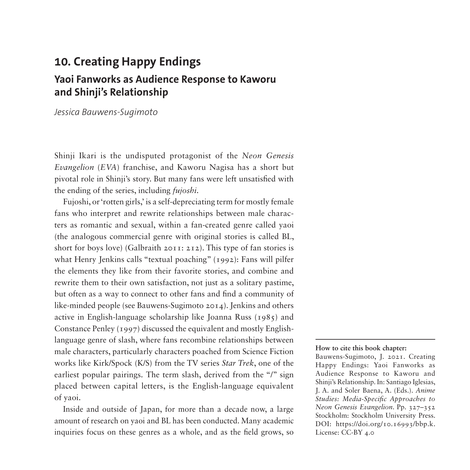# **10. Creating Happy Endings Yaoi Fanworks as Audience Response to Kaworu and Shinji's Relationship**

*Jessica Bauwens-Sugimoto*

Shinji Ikari is the undisputed protagonist of the *Neon Genesis Evangelion* (*EVA*) franchise, and Kaworu Nagisa has a short but pivotal role in Shinji's story. But many fans were left unsatisfied with the ending of the series, including *fujoshi*.

Fujoshi, or 'rotten girls,' is a self-depreciating term for mostly female fans who interpret and rewrite relationships between male characters as romantic and sexual, within a fan-created genre called yaoi (the analogous commercial genre with original stories is called BL, short for boys love) (Galbraith 2011: 212). This type of fan stories is what Henry Jenkins calls "textual poaching" (1992): Fans will pilfer the elements they like from their favorite stories, and combine and rewrite them to their own satisfaction, not just as a solitary pastime, but often as a way to connect to other fans and find a community of like-minded people (see Bauwens-Sugimoto 2014). Jenkins and others active in English-language scholarship like Joanna Russ (1985) and Constance Penley (1997) discussed the equivalent and mostly Englishlanguage genre of slash, where fans recombine relationships between male characters, particularly characters poached from Science Fiction works like Kirk/Spock (K/S) from the TV series *Star Trek*, one of the earliest popular pairings. The term slash, derived from the "/" sign placed between capital letters, is the English-language equivalent of yaoi.

Inside and outside of Japan, for more than a decade now, a large amount of research on yaoi and BL has been conducted. Many academic inquiries focus on these genres as a whole, and as the field grows, so

#### **How to cite this book chapter:**

Bauwens-Sugimoto, J. 2021. Creating Happy Endings: Yaoi Fanworks as Audience Response to Kaworu and Shinji's Relationship. In: Santiago Iglesias, J. A. and Soler Baena, A. (Eds.). *Anime Studies: Media-Specific Approaches to Neon Genesis Evangelion*. Pp. 327–352 Stockholm: Stockholm University Press. DOI: [https://doi.org/10.16993/bbp.k.](https://doi.org/10.16993/bbp.k) License: CC-BY 4.0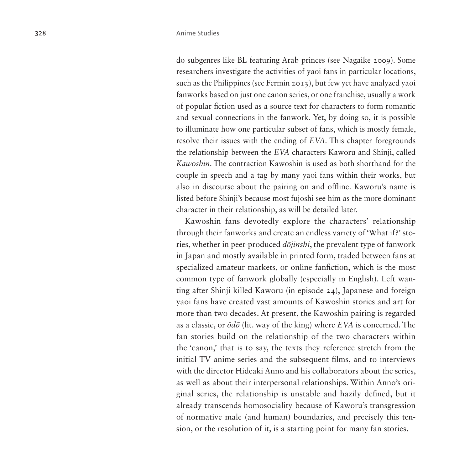do subgenres like BL featuring Arab princes (see Nagaike 2009). Some researchers investigate the activities of yaoi fans in particular locations, such as the Philippines (see Fermin 2013), but few yet have analyzed yaoi fanworks based on just one canon series, or one franchise, usually a work of popular fiction used as a source text for characters to form romantic and sexual connections in the fanwork. Yet, by doing so, it is possible to illuminate how one particular subset of fans, which is mostly female, resolve their issues with the ending of *EVA*. This chapter foregrounds the relationship between the *EVA* characters Kaworu and Shinji, called *Kawoshin*. The contraction Kawoshin is used as both shorthand for the couple in speech and a tag by many yaoi fans within their works, but also in discourse about the pairing on and offline. Kaworu's name is listed before Shinji's because most fujoshi see him as the more dominant character in their relationship, as will be detailed later.

Kawoshin fans devotedly explore the characters' relationship through their fanworks and create an endless variety of 'What if?' stories, whether in peer-produced *dōjinshi*, the prevalent type of fanwork in Japan and mostly available in printed form, traded between fans at specialized amateur markets, or online fanfiction, which is the most common type of fanwork globally (especially in English). Left wanting after Shinji killed Kaworu (in episode 24), Japanese and foreign yaoi fans have created vast amounts of Kawoshin stories and art for more than two decades. At present, the Kawoshin pairing is regarded as a classic, or *ōdō* (lit. way of the king) where *EVA* is concerned. The fan stories build on the relationship of the two characters within the 'canon,' that is to say, the texts they reference stretch from the initial TV anime series and the subsequent films, and to interviews with the director Hideaki Anno and his collaborators about the series, as well as about their interpersonal relationships. Within Anno's original series, the relationship is unstable and hazily defined, but it already transcends homosociality because of Kaworu's transgression of normative male (and human) boundaries, and precisely this tension, or the resolution of it, is a starting point for many fan stories.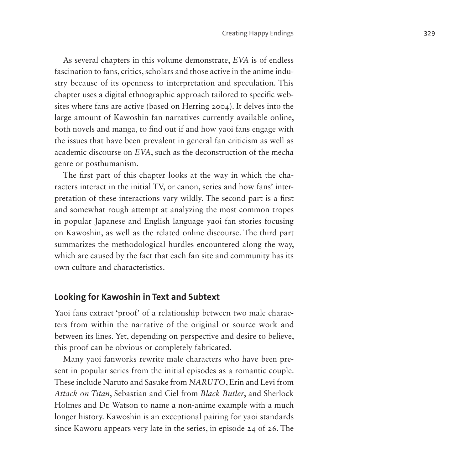As several chapters in this volume demonstrate, *EVA* is of endless fascination to fans, critics, scholars and those active in the anime industry because of its openness to interpretation and speculation. This chapter uses a digital ethnographic approach tailored to specific websites where fans are active (based on Herring 2004). It delves into the large amount of Kawoshin fan narratives currently available online, both novels and manga, to find out if and how yaoi fans engage with the issues that have been prevalent in general fan criticism as well as academic discourse on *EVA*, such as the deconstruction of the mecha genre or posthumanism.

The first part of this chapter looks at the way in which the characters interact in the initial TV, or canon, series and how fans' interpretation of these interactions vary wildly. The second part is a first and somewhat rough attempt at analyzing the most common tropes in popular Japanese and English language yaoi fan stories focusing on Kawoshin, as well as the related online discourse. The third part summarizes the methodological hurdles encountered along the way, which are caused by the fact that each fan site and community has its own culture and characteristics.

### **Looking for Kawoshin in Text and Subtext**

Yaoi fans extract 'proof' of a relationship between two male characters from within the narrative of the original or source work and between its lines. Yet, depending on perspective and desire to believe, this proof can be obvious or completely fabricated.

Many yaoi fanworks rewrite male characters who have been present in popular series from the initial episodes as a romantic couple. These include Naruto and Sasuke from *NARUTO*, Erin and Levi from *Attack on Titan*, Sebastian and Ciel from *Black Butler*, and Sherlock Holmes and Dr. Watson to name a non-anime example with a much longer history. Kawoshin is an exceptional pairing for yaoi standards since Kaworu appears very late in the series, in episode 24 of 26. The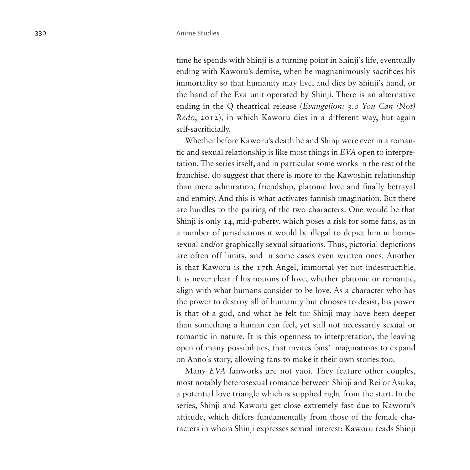time he spends with Shinji is a turning point in Shinji's life, eventually ending with Kaworu's demise, when he magnanimously sacrifices his immortality so that humanity may live, and dies by Shinji's hand, or the hand of the Eva unit operated by Shinji. There is an alternative ending in the Q theatrical release (*Evangelion: 3.0 You Can (Not) Redo*, 2012), in which Kaworu dies in a different way, but again self-sacrificially.

Whether before Kaworu's death he and Shinji were ever in a romantic and sexual relationship is like most things in *EVA* open to interpretation. The series itself, and in particular some works in the rest of the franchise, do suggest that there is more to the Kawoshin relationship than mere admiration, friendship, platonic love and finally betrayal and enmity. And this is what activates fannish imagination. But there are hurdles to the pairing of the two characters. One would be that Shinji is only 14, mid-puberty, which poses a risk for some fans, as in a number of jurisdictions it would be illegal to depict him in homosexual and/or graphically sexual situations. Thus, pictorial depictions are often off limits, and in some cases even written ones. Another is that Kaworu is the 17th Angel, immortal yet not indestructible. It is never clear if his notions of love, whether platonic or romantic, align with what humans consider to be love. As a character who has the power to destroy all of humanity but chooses to desist, his power is that of a god, and what he felt for Shinji may have been deeper than something a human can feel, yet still not necessarily sexual or romantic in nature. It is this openness to interpretation, the leaving open of many possibilities, that invites fans' imaginations to expand on Anno's story, allowing fans to make it their own stories too.

Many *EVA* fanworks are not yaoi. They feature other couples, most notably heterosexual romance between Shinji and Rei or Asuka, a potential love triangle which is supplied right from the start. In the series, Shinji and Kaworu get close extremely fast due to Kaworu's attitude, which differs fundamentally from those of the female characters in whom Shinji expresses sexual interest: Kaworu reads Shinji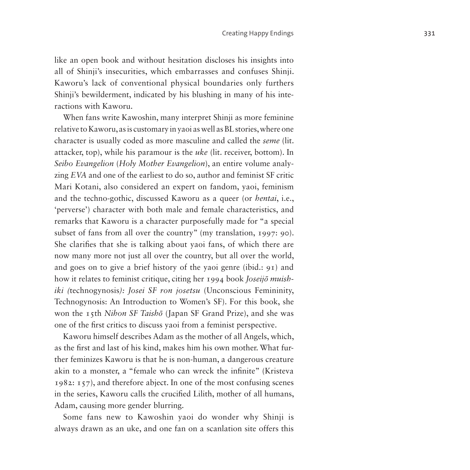like an open book and without hesitation discloses his insights into all of Shinji's insecurities, which embarrasses and confuses Shinji. Kaworu's lack of conventional physical boundaries only furthers Shinji's bewilderment, indicated by his blushing in many of his interactions with Kaworu.

When fans write Kawoshin, many interpret Shinji as more feminine relative to Kaworu, as is customary in yaoi as well as BL stories, where one character is usually coded as more masculine and called the *seme* (lit. attacker, top), while his paramour is the *uke* (lit. receiver, bottom). In *Seibo Evangelion* (*Holy Mother Evangelion*), an entire volume analyzing *EVA* and one of the earliest to do so, author and feminist SF critic Mari Kotani, also considered an expert on fandom, yaoi, feminism and the techno-gothic, discussed Kaworu as a queer (or *hentai*, i.e., 'perverse') character with both male and female characteristics, and remarks that Kaworu is a character purposefully made for "a special subset of fans from all over the country" (my translation, 1997: 90). She clarifies that she is talking about yaoi fans, of which there are now many more not just all over the country, but all over the world, and goes on to give a brief history of the yaoi genre (ibid.: 91) and how it relates to feminist critique, citing her 1994 book *Joseijō muishiki (*technogynosis*): Josei SF ron josetsu* (Unconscious Femininity, Technogynosis: An Introduction to Women's SF). For this book, she won the 15th *Nihon SF Taishō* (Japan SF Grand Prize), and she was one of the first critics to discuss yaoi from a feminist perspective.

Kaworu himself describes Adam as the mother of all Angels, which, as the first and last of his kind, makes him his own mother. What further feminizes Kaworu is that he is non-human, a dangerous creature akin to a monster, a "female who can wreck the infinite" (Kristeva 1982: 157), and therefore abject. In one of the most confusing scenes in the series, Kaworu calls the crucified Lilith, mother of all humans, Adam, causing more gender blurring.

Some fans new to Kawoshin yaoi do wonder why Shinji is always drawn as an uke, and one fan on a scanlation site offers this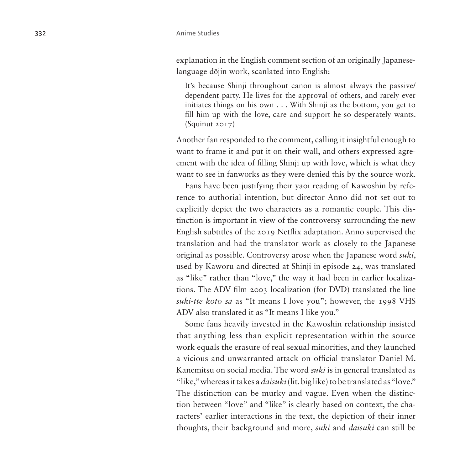explanation in the English comment section of an originally Japaneselanguage dōjin work, scanlated into English:

It's because Shinji throughout canon is almost always the passive/ dependent party. He lives for the approval of others, and rarely ever initiates things on his own . . . With Shinji as the bottom, you get to fill him up with the love, care and support he so desperately wants. (Squinut 2017)

Another fan responded to the comment, calling it insightful enough to want to frame it and put it on their wall, and others expressed agreement with the idea of filling Shinji up with love, which is what they want to see in fanworks as they were denied this by the source work.

Fans have been justifying their yaoi reading of Kawoshin by reference to authorial intention, but director Anno did not set out to explicitly depict the two characters as a romantic couple. This distinction is important in view of the controversy surrounding the new English subtitles of the 2019 Netflix adaptation. Anno supervised the translation and had the translator work as closely to the Japanese original as possible. Controversy arose when the Japanese word *suki*, used by Kaworu and directed at Shinji in episode 24, was translated as "like" rather than "love," the way it had been in earlier localizations. The ADV film 2003 localization (for DVD) translated the line *suki-tte koto sa* as "It means I love you"; however, the 1998 VHS ADV also translated it as "It means I like you."

Some fans heavily invested in the Kawoshin relationship insisted that anything less than explicit representation within the source work equals the erasure of real sexual minorities, and they launched a vicious and unwarranted attack on official translator Daniel M. Kanemitsu on social media. The word *suki* is in general translated as "like," whereas it takes a *daisuki* (lit. big like) to be translated as "love." The distinction can be murky and vague. Even when the distinction between "love" and "like" is clearly based on context, the characters' earlier interactions in the text, the depiction of their inner thoughts, their background and more, *suki* and *daisuki* can still be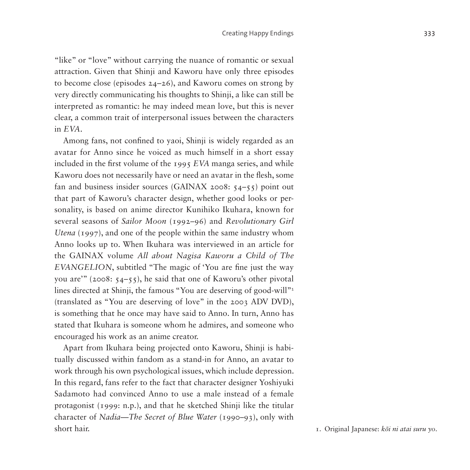"like" or "love" without carrying the nuance of romantic or sexual attraction. Given that Shinji and Kaworu have only three episodes to become close (episodes 24–26), and Kaworu comes on strong by very directly communicating his thoughts to Shinji, a like can still be interpreted as romantic: he may indeed mean love, but this is never clear, a common trait of interpersonal issues between the characters in *EVA*.

Among fans, not confined to yaoi, Shinji is widely regarded as an avatar for Anno since he voiced as much himself in a short essay included in the first volume of the 1995 *EVA* manga series, and while Kaworu does not necessarily have or need an avatar in the flesh, some fan and business insider sources (GAINAX 2008: 54–55) point out that part of Kaworu's character design, whether good looks or personality, is based on anime director Kunihiko Ikuhara, known for several seasons of *Sailor Moon* (1992–96) and *Revolutionary Girl Utena* (1997), and one of the people within the same industry whom Anno looks up to. When Ikuhara was interviewed in an article for the GAINAX volume *All about Nagisa Kaworu a Child of The EVANGELION*, subtitled "The magic of 'You are fine just the way you are'" (2008: 54–55), he said that one of Kaworu's other pivotal lines directed at Shinji, the famous "You are deserving of good-will"<sup>[1](#page-6-0)</sup> (translated as "You are deserving of love" in the 2003 ADV DVD), is something that he once may have said to Anno. In turn, Anno has stated that Ikuhara is someone whom he admires, and someone who encouraged his work as an anime creator.

Apart from Ikuhara being projected onto Kaworu, Shinji is habitually discussed within fandom as a stand-in for Anno, an avatar to work through his own psychological issues, which include depression. In this regard, fans refer to the fact that character designer Yoshiyuki Sadamoto had convinced Anno to use a male instead of a female protagonist (1999: n.p.), and that he sketched Shinji like the titular character of *Nadia—The Secret of Blue Water* (1990–93), only with short hair. 1. Original Japanese: *kōi ni atai suru yo*.

<span id="page-6-0"></span>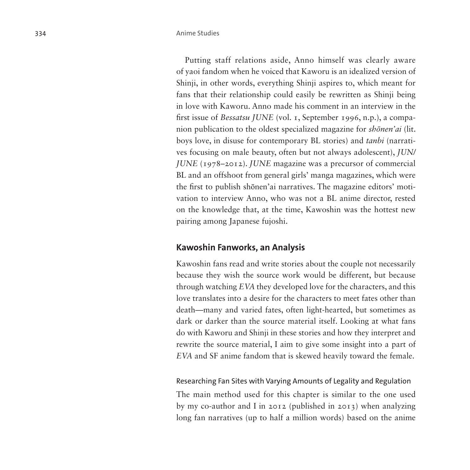Putting staff relations aside, Anno himself was clearly aware of yaoi fandom when he voiced that Kaworu is an idealized version of Shinji, in other words, everything Shinji aspires to, which meant for fans that their relationship could easily be rewritten as Shinji being in love with Kaworu. Anno made his comment in an interview in the first issue of *Bessatsu JUNE* (vol. 1, September 1996, n.p.), a companion publication to the oldest specialized magazine for *shōnen'ai* (lit. boys love, in disuse for contemporary BL stories) and *tanbi* (narratives focusing on male beauty, often but not always adolescent), *JUN/ JUNE* (1978–2012). *JUNE* magazine was a precursor of commercial BL and an offshoot from general girls' manga magazines, which were the first to publish shōnen'ai narratives. The magazine editors' motivation to interview Anno, who was not a BL anime director, rested on the knowledge that, at the time, Kawoshin was the hottest new pairing among Japanese fujoshi.

#### **Kawoshin Fanworks, an Analysis**

Kawoshin fans read and write stories about the couple not necessarily because they wish the source work would be different, but because through watching *EVA* they developed love for the characters, and this love translates into a desire for the characters to meet fates other than death—many and varied fates, often light-hearted, but sometimes as dark or darker than the source material itself. Looking at what fans do with Kaworu and Shinji in these stories and how they interpret and rewrite the source material, I aim to give some insight into a part of *EVA* and SF anime fandom that is skewed heavily toward the female.

#### Researching Fan Sites with Varying Amounts of Legality and Regulation

The main method used for this chapter is similar to the one used by my co-author and I in 2012 (published in 2013) when analyzing long fan narratives (up to half a million words) based on the anime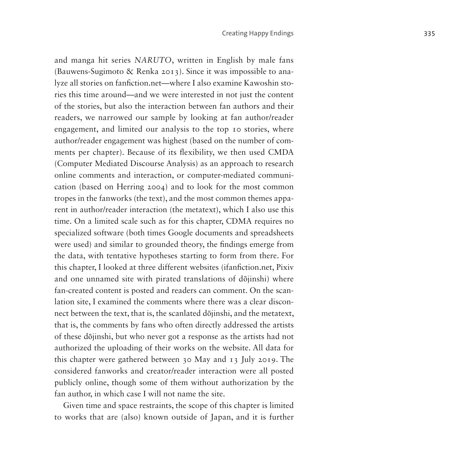and manga hit series *NARUTO*, written in English by male fans (Bauwens-Sugimoto & Renka 2013). Since it was impossible to analyze all stories on fanfiction.net—where I also examine Kawoshin stories this time around—and we were interested in not just the content of the stories, but also the interaction between fan authors and their readers, we narrowed our sample by looking at fan author/reader engagement, and limited our analysis to the top 10 stories, where author/reader engagement was highest (based on the number of comments per chapter). Because of its flexibility, we then used CMDA (Computer Mediated Discourse Analysis) as an approach to research online comments and interaction, or computer-mediated communication (based on Herring 2004) and to look for the most common tropes in the fanworks (the text), and the most common themes apparent in author/reader interaction (the metatext), which I also use this time. On a limited scale such as for this chapter, CDMA requires no specialized software (both times Google documents and spreadsheets were used) and similar to grounded theory, the findings emerge from the data, with tentative hypotheses starting to form from there. For this chapter, I looked at three different websites (ifanfiction.net, Pixiv and one unnamed site with pirated translations of dōjinshi) where fan-created content is posted and readers can comment. On the scanlation site, I examined the comments where there was a clear disconnect between the text, that is, the scanlated dōjinshi, and the metatext, that is, the comments by fans who often directly addressed the artists of these dōjinshi, but who never got a response as the artists had not authorized the uploading of their works on the website. All data for this chapter were gathered between 30 May and 13 July 2019. The considered fanworks and creator/reader interaction were all posted publicly online, though some of them without authorization by the fan author, in which case I will not name the site.

Given time and space restraints, the scope of this chapter is limited to works that are (also) known outside of Japan, and it is further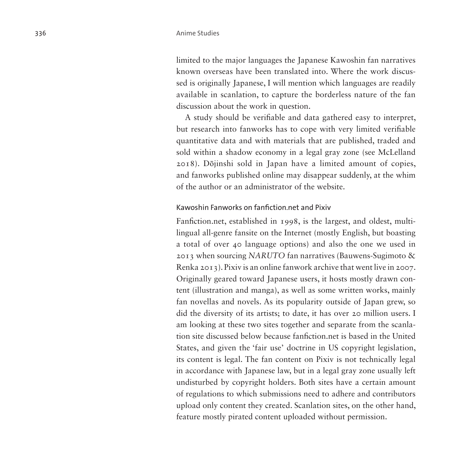limited to the major languages the Japanese Kawoshin fan narratives known overseas have been translated into. Where the work discussed is originally Japanese, I will mention which languages are readily available in scanlation, to capture the borderless nature of the fan discussion about the work in question.

A study should be verifiable and data gathered easy to interpret, but research into fanworks has to cope with very limited verifiable quantitative data and with materials that are published, traded and sold within a shadow economy in a legal gray zone (see McLelland 2018). Dōjinshi sold in Japan have a limited amount of copies, and fanworks published online may disappear suddenly, at the whim of the author or an administrator of the website.

#### Kawoshin Fanworks on fanfiction.net and Pixiv

Fanfiction.net, established in 1998, is the largest, and oldest, multilingual all-genre fansite on the Internet (mostly English, but boasting a total of over 40 language options) and also the one we used in 2013 when sourcing *NARUTO* fan narratives (Bauwens-Sugimoto & Renka 2013). Pixiv is an online fanwork archive that went live in 2007. Originally geared toward Japanese users, it hosts mostly drawn content (illustration and manga), as well as some written works, mainly fan novellas and novels. As its popularity outside of Japan grew, so did the diversity of its artists; to date, it has over 20 million users. I am looking at these two sites together and separate from the scanlation site discussed below because fanfiction.net is based in the United States, and given the 'fair use' doctrine in US copyright legislation, its content is legal. The fan content on Pixiv is not technically legal in accordance with Japanese law, but in a legal gray zone usually left undisturbed by copyright holders. Both sites have a certain amount of regulations to which submissions need to adhere and contributors upload only content they created. Scanlation sites, on the other hand, feature mostly pirated content uploaded without permission.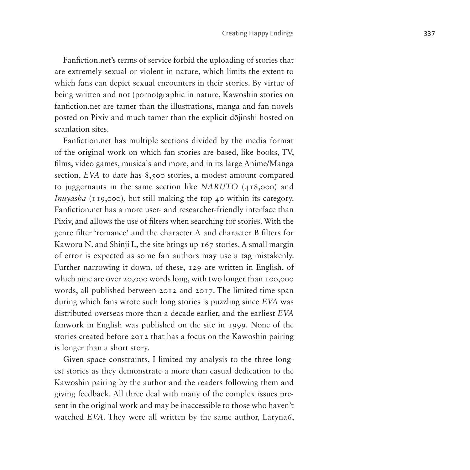Fanfiction.net's terms of service forbid the uploading of stories that are extremely sexual or violent in nature, which limits the extent to which fans can depict sexual encounters in their stories. By virtue of being written and not (porno)graphic in nature, Kawoshin stories on fanfiction.net are tamer than the illustrations, manga and fan novels posted on Pixiv and much tamer than the explicit dōjinshi hosted on scanlation sites.

Fanfiction.net has multiple sections divided by the media format of the original work on which fan stories are based, like books, TV, films, video games, musicals and more, and in its large Anime/Manga section, *EVA* to date has 8,500 stories, a modest amount compared to juggernauts in the same section like *NARUTO* (418,000) and *Inuyasha* (119,000), but still making the top 40 within its category. Fanfiction.net has a more user- and researcher-friendly interface than Pixiv, and allows the use of filters when searching for stories. With the genre filter 'romance' and the character A and character B filters for Kaworu N. and Shinji I., the site brings up 167 stories. A small margin of error is expected as some fan authors may use a tag mistakenly. Further narrowing it down, of these, 129 are written in English, of which nine are over 20,000 words long, with two longer than 100,000 words, all published between 2012 and 2017. The limited time span during which fans wrote such long stories is puzzling since *EVA* was distributed overseas more than a decade earlier, and the earliest *EVA* fanwork in English was published on the site in 1999. None of the stories created before 2012 that has a focus on the Kawoshin pairing is longer than a short story.

Given space constraints, I limited my analysis to the three longest stories as they demonstrate a more than casual dedication to the Kawoshin pairing by the author and the readers following them and giving feedback. All three deal with many of the complex issues present in the original work and may be inaccessible to those who haven't watched *EVA*. They were all written by the same author, Laryna6,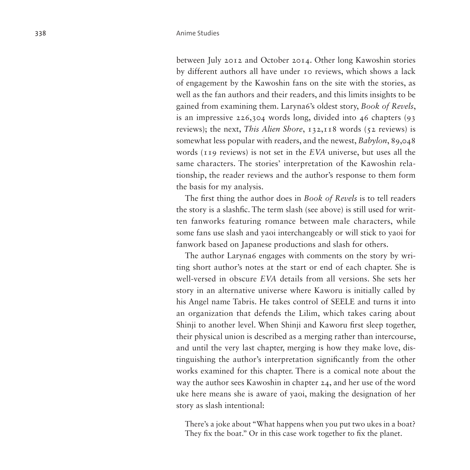between July 2012 and October 2014. Other long Kawoshin stories by different authors all have under 10 reviews, which shows a lack of engagement by the Kawoshin fans on the site with the stories, as well as the fan authors and their readers, and this limits insights to be gained from examining them. Laryna6's oldest story, *Book of Revels*, is an impressive 226,304 words long, divided into 46 chapters (93 reviews); the next, *This Alien Shore*, 132,118 words (52 reviews) is somewhat less popular with readers, and the newest, *Babylon*, 89,048 words (119 reviews) is not set in the *EVA* universe, but uses all the same characters. The stories' interpretation of the Kawoshin relationship, the reader reviews and the author's response to them form the basis for my analysis.

The first thing the author does in *Book of Revels* is to tell readers the story is a slashfic. The term slash (see above) is still used for written fanworks featuring romance between male characters, while some fans use slash and yaoi interchangeably or will stick to yaoi for fanwork based on Japanese productions and slash for others.

The author Laryna6 engages with comments on the story by writing short author's notes at the start or end of each chapter. She is well-versed in obscure *EVA* details from all versions. She sets her story in an alternative universe where Kaworu is initially called by his Angel name Tabris. He takes control of SEELE and turns it into an organization that defends the Lilim, which takes caring about Shinji to another level. When Shinji and Kaworu first sleep together, their physical union is described as a merging rather than intercourse, and until the very last chapter, merging is how they make love, distinguishing the author's interpretation significantly from the other works examined for this chapter. There is a comical note about the way the author sees Kawoshin in chapter 24, and her use of the word uke here means she is aware of yaoi, making the designation of her story as slash intentional:

There's a joke about "What happens when you put two ukes in a boat? They fix the boat." Or in this case work together to fix the planet.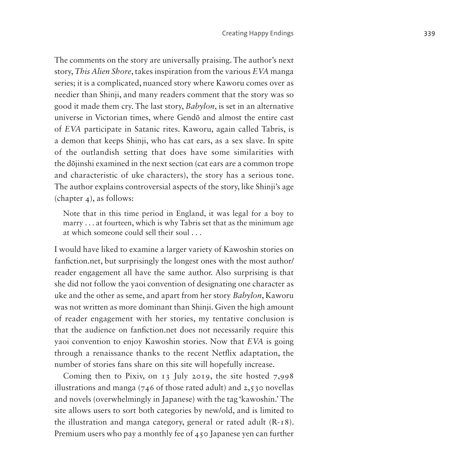The comments on the story are universally praising. The author's next story, *This Alien Shore*, takes inspiration from the various *EVA* manga series; it is a complicated, nuanced story where Kaworu comes over as needier than Shinji, and many readers comment that the story was so good it made them cry. The last story, *Babylon*, is set in an alternative universe in Victorian times, where Gendō and almost the entire cast of *EVA* participate in Satanic rites. Kaworu, again called Tabris, is a demon that keeps Shinji, who has cat ears, as a sex slave. In spite of the outlandish setting that does have some similarities with the dōjinshi examined in the next section (cat ears are a common trope and characteristic of uke characters), the story has a serious tone. The author explains controversial aspects of the story, like Shinji's age (chapter 4), as follows:

Note that in this time period in England, it was legal for a boy to marry . . . at fourteen, which is why Tabris set that as the minimum age at which someone could sell their soul . . .

I would have liked to examine a larger variety of Kawoshin stories on fanfiction.net, but surprisingly the longest ones with the most author/ reader engagement all have the same author. Also surprising is that she did not follow the yaoi convention of designating one character as uke and the other as seme, and apart from her story *Babylon*, Kaworu was not written as more dominant than Shinji. Given the high amount of reader engagement with her stories, my tentative conclusion is that the audience on fanfiction.net does not necessarily require this yaoi convention to enjoy Kawoshin stories. Now that *EVA* is going through a renaissance thanks to the recent Netflix adaptation, the number of stories fans share on this site will hopefully increase.

Coming then to Pixiv, on 13 July 2019, the site hosted 7,998 illustrations and manga (746 of those rated adult) and 2,530 novellas and novels (overwhelmingly in Japanese) with the tag 'kawoshin.' The site allows users to sort both categories by new/old, and is limited to the illustration and manga category, general or rated adult (R-18). Premium users who pay a monthly fee of 450 Japanese yen can further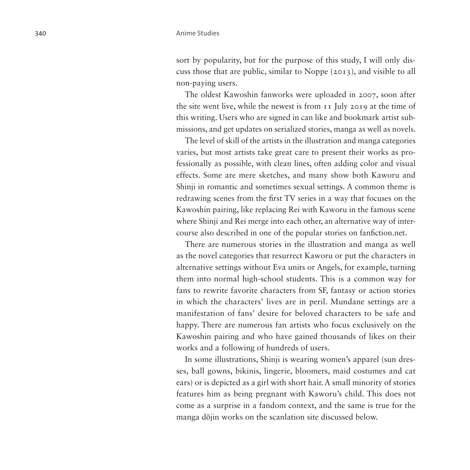sort by popularity, but for the purpose of this study, I will only discuss those that are public, similar to Noppe (2013), and visible to all non-paying users.

The oldest Kawoshin fanworks were uploaded in 2007, soon after the site went live, while the newest is from 11 July 2019 at the time of this writing. Users who are signed in can like and bookmark artist submissions, and get updates on serialized stories, manga as well as novels.

The level of skill of the artists in the illustration and manga categories varies, but most artists take great care to present their works as professionally as possible, with clean lines, often adding color and visual effects. Some are mere sketches, and many show both Kaworu and Shinji in romantic and sometimes sexual settings. A common theme is redrawing scenes from the first TV series in a way that focuses on the Kawoshin pairing, like replacing Rei with Kaworu in the famous scene where Shinji and Rei merge into each other, an alternative way of intercourse also described in one of the popular stories on [fanfiction.net.](http://fanfiction.net)

There are numerous stories in the illustration and manga as well as the novel categories that resurrect Kaworu or put the characters in alternative settings without Eva units or Angels, for example, turning them into normal high-school students. This is a common way for fans to rewrite favorite characters from SF, fantasy or action stories in which the characters' lives are in peril. Mundane settings are a manifestation of fans' desire for beloved characters to be safe and happy. There are numerous fan artists who focus exclusively on the Kawoshin pairing and who have gained thousands of likes on their works and a following of hundreds of users.

In some illustrations, Shinji is wearing women's apparel (sun dresses, ball gowns, bikinis, lingerie, bloomers, maid costumes and cat ears) or is depicted as a girl with short hair. A small minority of stories features him as being pregnant with Kaworu's child. This does not come as a surprise in a fandom context, and the same is true for the manga dōjin works on the scanlation site discussed below.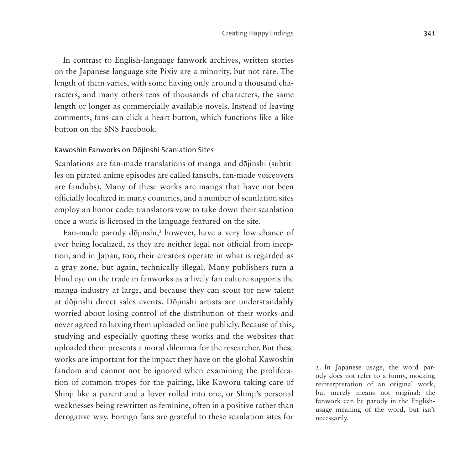In contrast to English-language fanwork archives, written stories on the Japanese-language site Pixiv are a minority, but not rare. The length of them varies, with some having only around a thousand characters, and many others tens of thousands of characters, the same length or longer as commercially available novels. Instead of leaving comments, fans can click a heart button, which functions like a like button on the SNS Facebook.

#### Kawoshin Fanworks on Dōjinshi Scanlation Sites

Scanlations are fan-made translations of manga and dōjinshi (subtitles on pirated anime episodes are called fansubs, fan-made voiceovers are fandubs). Many of these works are manga that have not been officially localized in many countries, and a number of scanlation sites employ an honor code: translators vow to take down their scanlation once a work is licensed in the language featured on the site.

Fan-made parody dōjinshi,<sup>[2](#page-14-0)</sup> however, have a very low chance of ever being localized, as they are neither legal nor official from inception, and in Japan, too, their creators operate in what is regarded as a gray zone, but again, technically illegal. Many publishers turn a blind eye on the trade in fanworks as a lively fan culture supports the manga industry at large, and because they can scout for new talent at dōjinshi direct sales events. Dōjinshi artists are understandably worried about losing control of the distribution of their works and never agreed to having them uploaded online publicly. Because of this, studying and especially quoting these works and the websites that uploaded them presents a moral dilemma for the researcher. But these works are important for the impact they have on the global Kawoshin fandom and cannot not be ignored when examining the proliferation of common tropes for the pairing, like Kaworu taking care of Shinji like a parent and a lover rolled into one, or Shinji's personal weaknesses being rewritten as feminine, often in a positive rather than derogative way. Foreign fans are grateful to these scanlation sites for

<span id="page-14-0"></span>2. In Japanese usage, the word parody does not refer to a funny, mocking reinterpretation of an original work, but merely means not original; the fanwork can be parody in the Englishusage meaning of the word, but isn't necessarily.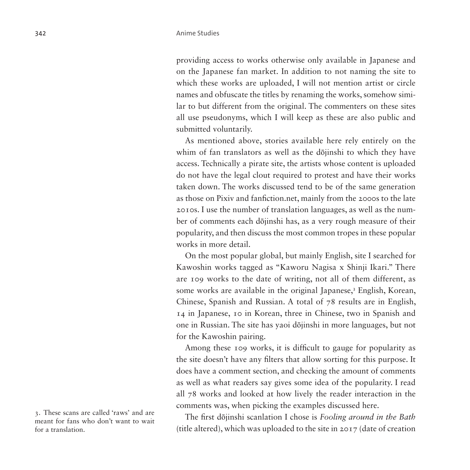providing access to works otherwise only available in Japanese and on the Japanese fan market. In addition to not naming the site to which these works are uploaded, I will not mention artist or circle names and obfuscate the titles by renaming the works, somehow similar to but different from the original. The commenters on these sites all use pseudonyms, which I will keep as these are also public and submitted voluntarily.

As mentioned above, stories available here rely entirely on the whim of fan translators as well as the dōjinshi to which they have access. Technically a pirate site, the artists whose content is uploaded do not have the legal clout required to protest and have their works taken down. The works discussed tend to be of the same generation as those on Pixiv and fanfiction.net, mainly from the 2000s to the late 2010s. I use the number of translation languages, as well as the number of comments each dōjinshi has, as a very rough measure of their popularity, and then discuss the most common tropes in these popular works in more detail.

On the most popular global, but mainly English, site I searched for Kawoshin works tagged as "Kaworu Nagisa x Shinji Ikari." There are 109 works to the date of writing, not all of them different, as some works are available in the original Japanese,<sup>[3](#page-15-0)</sup> English, Korean, Chinese, Spanish and Russian. A total of 78 results are in English, 14 in Japanese, 10 in Korean, three in Chinese, two in Spanish and one in Russian. The site has yaoi dōjinshi in more languages, but not for the Kawoshin pairing.

Among these 109 works, it is difficult to gauge for popularity as the site doesn't have any filters that allow sorting for this purpose. It does have a comment section, and checking the amount of comments as well as what readers say gives some idea of the popularity. I read all 78 works and looked at how lively the reader interaction in the comments was, when picking the examples discussed here.

The first dōjinshi scanlation I chose is *Fooling around in the Bath*  (title altered), which was uploaded to the site in 2017 (date of creation

<span id="page-15-0"></span><sup>3.</sup> These scans are called 'raws' and are meant for fans who don't want to wait for a translation.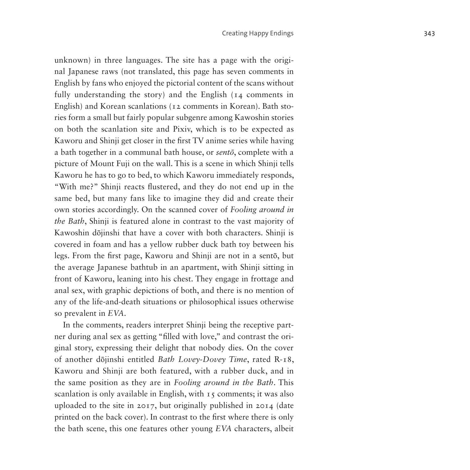unknown) in three languages. The site has a page with the original Japanese raws (not translated, this page has seven comments in English by fans who enjoyed the pictorial content of the scans without fully understanding the story) and the English  $(I_4$  comments in English) and Korean scanlations (12 comments in Korean). Bath stories form a small but fairly popular subgenre among Kawoshin stories on both the scanlation site and Pixiv, which is to be expected as Kaworu and Shinji get closer in the first TV anime series while having a bath together in a communal bath house, or *sentō*, complete with a picture of Mount Fuji on the wall. This is a scene in which Shinji tells Kaworu he has to go to bed, to which Kaworu immediately responds, "With me?" Shinji reacts flustered, and they do not end up in the same bed, but many fans like to imagine they did and create their own stories accordingly. On the scanned cover of *Fooling around in the Bath*, Shinji is featured alone in contrast to the vast majority of Kawoshin dōjinshi that have a cover with both characters. Shinji is covered in foam and has a yellow rubber duck bath toy between his legs. From the first page, Kaworu and Shinji are not in a sentō, but the average Japanese bathtub in an apartment, with Shinji sitting in front of Kaworu, leaning into his chest. They engage in frottage and anal sex, with graphic depictions of both, and there is no mention of any of the life-and-death situations or philosophical issues otherwise so prevalent in *EVA*.

In the comments, readers interpret Shinji being the receptive partner during anal sex as getting "filled with love," and contrast the original story, expressing their delight that nobody dies. On the cover of another dōjinshi entitled *Bath Lovey-Dovey Time*, rated R-18, Kaworu and Shinji are both featured, with a rubber duck, and in the same position as they are in *Fooling around in the Bath*. This scanlation is only available in English, with 15 comments; it was also uploaded to the site in 2017, but originally published in 2014 (date printed on the back cover). In contrast to the first where there is only the bath scene, this one features other young *EVA* characters, albeit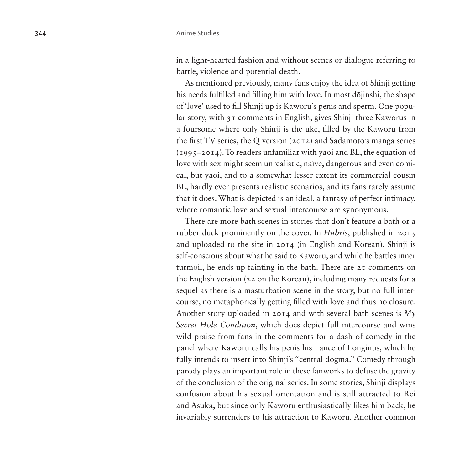in a light-hearted fashion and without scenes or dialogue referring to battle, violence and potential death.

As mentioned previously, many fans enjoy the idea of Shinji getting his needs fulfilled and filling him with love. In most dōjinshi, the shape of 'love' used to fill Shinji up is Kaworu's penis and sperm. One popular story, with 31 comments in English, gives Shinji three Kaworus in a foursome where only Shinji is the uke, filled by the Kaworu from the first TV series, the Q version (2012) and Sadamoto's manga series (1995−2014). To readers unfamiliar with yaoi and BL, the equation of love with sex might seem unrealistic, naïve, dangerous and even comical, but yaoi, and to a somewhat lesser extent its commercial cousin BL, hardly ever presents realistic scenarios, and its fans rarely assume that it does. What is depicted is an ideal, a fantasy of perfect intimacy, where romantic love and sexual intercourse are synonymous.

There are more bath scenes in stories that don't feature a bath or a rubber duck prominently on the cover. In *Hubris*, published in 2013 and uploaded to the site in 2014 (in English and Korean), Shinji is self-conscious about what he said to Kaworu, and while he battles inner turmoil, he ends up fainting in the bath. There are 20 comments on the English version (22 on the Korean), including many requests for a sequel as there is a masturbation scene in the story, but no full intercourse, no metaphorically getting filled with love and thus no closure. Another story uploaded in 2014 and with several bath scenes is *My Secret Hole Condition*, which does depict full intercourse and wins wild praise from fans in the comments for a dash of comedy in the panel where Kaworu calls his penis his Lance of Longinus, which he fully intends to insert into Shinji's "central dogma." Comedy through parody plays an important role in these fanworks to defuse the gravity of the conclusion of the original series. In some stories, Shinji displays confusion about his sexual orientation and is still attracted to Rei and Asuka, but since only Kaworu enthusiastically likes him back, he invariably surrenders to his attraction to Kaworu. Another common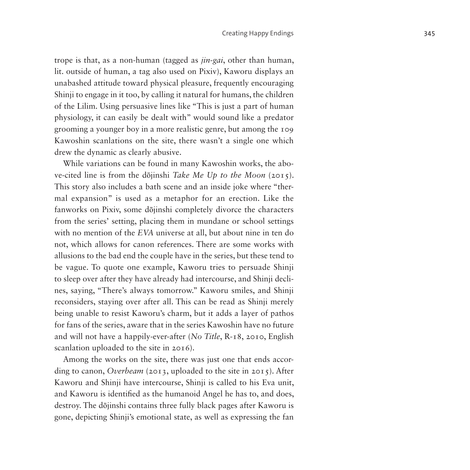trope is that, as a non-human (tagged as *jin*-*gai*, other than human, lit. outside of human, a tag also used on Pixiv), Kaworu displays an unabashed attitude toward physical pleasure, frequently encouraging Shinji to engage in it too, by calling it natural for humans, the children of the Lilim. Using persuasive lines like "This is just a part of human physiology, it can easily be dealt with" would sound like a predator grooming a younger boy in a more realistic genre, but among the 109 Kawoshin scanlations on the site, there wasn't a single one which drew the dynamic as clearly abusive.

While variations can be found in many Kawoshin works, the above-cited line is from the dōjinshi *Take Me Up to the Moon* (2015). This story also includes a bath scene and an inside joke where "thermal expansion" is used as a metaphor for an erection. Like the fanworks on Pixiv, some dōjinshi completely divorce the characters from the series' setting, placing them in mundane or school settings with no mention of the *EVA* universe at all, but about nine in ten do not, which allows for canon references. There are some works with allusions to the bad end the couple have in the series, but these tend to be vague. To quote one example, Kaworu tries to persuade Shinji to sleep over after they have already had intercourse, and Shinji declines, saying, "There's always tomorrow." Kaworu smiles, and Shinji reconsiders, staying over after all. This can be read as Shinji merely being unable to resist Kaworu's charm, but it adds a layer of pathos for fans of the series, aware that in the series Kawoshin have no future and will not have a happily-ever-after (*No Title*, R-18, 2010, English scanlation uploaded to the site in 2016).

Among the works on the site, there was just one that ends according to canon, *Overbeam* (2013, uploaded to the site in 2015). After Kaworu and Shinji have intercourse, Shinji is called to his Eva unit, and Kaworu is identified as the humanoid Angel he has to, and does, destroy. The dōjinshi contains three fully black pages after Kaworu is gone, depicting Shinji's emotional state, as well as expressing the fan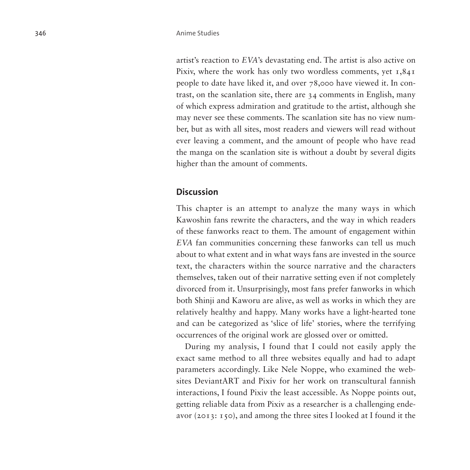artist's reaction to *EVA*'s devastating end. The artist is also active on Pixiv, where the work has only two wordless comments, yet 1,841 people to date have liked it, and over 78,000 have viewed it. In contrast, on the scanlation site, there are 34 comments in English, many of which express admiration and gratitude to the artist, although she may never see these comments. The scanlation site has no view number, but as with all sites, most readers and viewers will read without ever leaving a comment, and the amount of people who have read the manga on the scanlation site is without a doubt by several digits higher than the amount of comments.

### **Discussion**

This chapter is an attempt to analyze the many ways in which Kawoshin fans rewrite the characters, and the way in which readers of these fanworks react to them. The amount of engagement within *EVA* fan communities concerning these fanworks can tell us much about to what extent and in what ways fans are invested in the source text, the characters within the source narrative and the characters themselves, taken out of their narrative setting even if not completely divorced from it. Unsurprisingly, most fans prefer fanworks in which both Shinji and Kaworu are alive, as well as works in which they are relatively healthy and happy. Many works have a light-hearted tone and can be categorized as 'slice of life' stories, where the terrifying occurrences of the original work are glossed over or omitted.

During my analysis, I found that I could not easily apply the exact same method to all three websites equally and had to adapt parameters accordingly. Like Nele Noppe, who examined the websites DeviantART and Pixiv for her work on transcultural fannish interactions, I found Pixiv the least accessible. As Noppe points out, getting reliable data from Pixiv as a researcher is a challenging endeavor (2013: 150), and among the three sites I looked at I found it the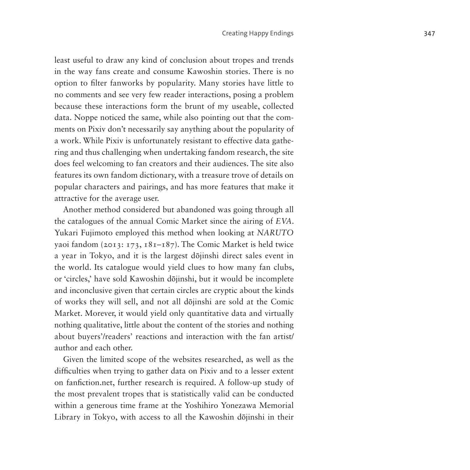least useful to draw any kind of conclusion about tropes and trends in the way fans create and consume Kawoshin stories. There is no option to filter fanworks by popularity. Many stories have little to no comments and see very few reader interactions, posing a problem because these interactions form the brunt of my useable, collected data. Noppe noticed the same, while also pointing out that the comments on Pixiv don't necessarily say anything about the popularity of a work. While Pixiv is unfortunately resistant to effective data gathering and thus challenging when undertaking fandom research, the site does feel welcoming to fan creators and their audiences. The site also features its own fandom dictionary, with a treasure trove of details on popular characters and pairings, and has more features that make it attractive for the average user.

Another method considered but abandoned was going through all the catalogues of the annual Comic Market since the airing of *EVA*. Yukari Fujimoto employed this method when looking at *NARUTO* yaoi fandom (2013: 173, 181–187). The Comic Market is held twice a year in Tokyo, and it is the largest dōjinshi direct sales event in the world. Its catalogue would yield clues to how many fan clubs, or 'circles,' have sold Kawoshin dōjinshi, but it would be incomplete and inconclusive given that certain circles are cryptic about the kinds of works they will sell, and not all dōjinshi are sold at the Comic Market. Morever, it would yield only quantitative data and virtually nothing qualitative, little about the content of the stories and nothing about buyers'/readers' reactions and interaction with the fan artist/ author and each other.

Given the limited scope of the websites researched, as well as the difficulties when trying to gather data on Pixiv and to a lesser extent on fanfiction.net, further research is required. A follow-up study of the most prevalent tropes that is statistically valid can be conducted within a generous time frame at the Yoshihiro Yonezawa Memorial Library in Tokyo, with access to all the Kawoshin dōjinshi in their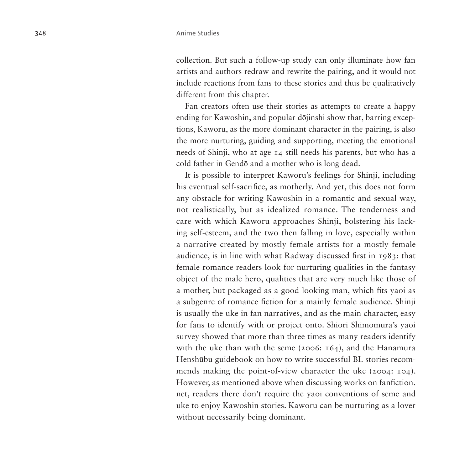collection. But such a follow-up study can only illuminate how fan artists and authors redraw and rewrite the pairing, and it would not include reactions from fans to these stories and thus be qualitatively different from this chapter.

Fan creators often use their stories as attempts to create a happy ending for Kawoshin, and popular dōjinshi show that, barring exceptions, Kaworu, as the more dominant character in the pairing, is also the more nurturing, guiding and supporting, meeting the emotional needs of Shinji, who at age 14 still needs his parents, but who has a cold father in Gendō and a mother who is long dead.

It is possible to interpret Kaworu's feelings for Shinji, including his eventual self-sacrifice, as motherly. And yet, this does not form any obstacle for writing Kawoshin in a romantic and sexual way, not realistically, but as idealized romance. The tenderness and care with which Kaworu approaches Shinji, bolstering his lacking self-esteem, and the two then falling in love, especially within a narrative created by mostly female artists for a mostly female audience, is in line with what Radway discussed first in 1983: that female romance readers look for nurturing qualities in the fantasy object of the male hero, qualities that are very much like those of a mother, but packaged as a good looking man, which fits yaoi as a subgenre of romance fiction for a mainly female audience. Shinji is usually the uke in fan narratives, and as the main character, easy for fans to identify with or project onto. Shiori Shimomura's yaoi survey showed that more than three times as many readers identify with the uke than with the seme (2006: 164), and the Hanamura Henshūbu guidebook on how to write successful BL stories recommends making the point-of-view character the uke (2004: 104). However, as mentioned above when discussing works on fanfiction. net, readers there don't require the yaoi conventions of seme and uke to enjoy Kawoshin stories. Kaworu can be nurturing as a lover without necessarily being dominant.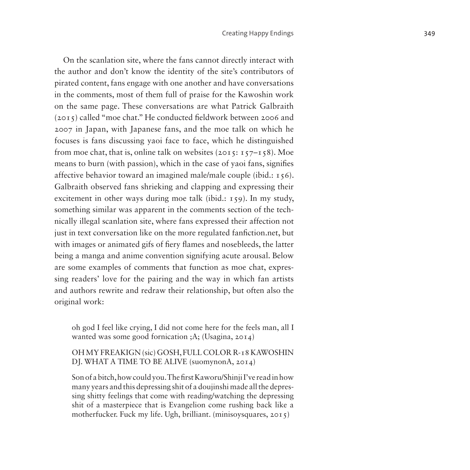On the scanlation site, where the fans cannot directly interact with the author and don't know the identity of the site's contributors of pirated content, fans engage with one another and have conversations in the comments, most of them full of praise for the Kawoshin work on the same page. These conversations are what Patrick Galbraith (2015) called "moe chat." He conducted fieldwork between 2006 and 2007 in Japan, with Japanese fans, and the moe talk on which he focuses is fans discussing yaoi face to face, which he distinguished from moe chat, that is, online talk on websites  $(2015: 157-158)$ . Moe means to burn (with passion), which in the case of yaoi fans, signifies affective behavior toward an imagined male/male couple (ibid.: 156). Galbraith observed fans shrieking and clapping and expressing their excitement in other ways during moe talk (ibid.: 159). In my study, something similar was apparent in the comments section of the technically illegal scanlation site, where fans expressed their affection not just in text conversation like on the more regulated fanfiction.net, but with images or animated gifs of fiery flames and nosebleeds, the latter being a manga and anime convention signifying acute arousal. Below are some examples of comments that function as moe chat, expressing readers' love for the pairing and the way in which fan artists and authors rewrite and redraw their relationship, but often also the original work:

oh god I feel like crying, I did not come here for the feels man, all I wanted was some good fornication ;A; (Usagina, 2014)

#### OH MY FREAKIGN (sic) GOSH, FULL COLOR R-18 KAWOSHIN DJ. WHAT A TIME TO BE ALIVE (suomynonA, 2014)

Son of a bitch, how could you. The first Kaworu/Shinji I've read in how many years and this depressing shit of a doujinshi made all the depressing shitty feelings that come with reading/watching the depressing shit of a masterpiece that is Evangelion come rushing back like a motherfucker. Fuck my life. Ugh, brilliant. (minisoysquares, 2015)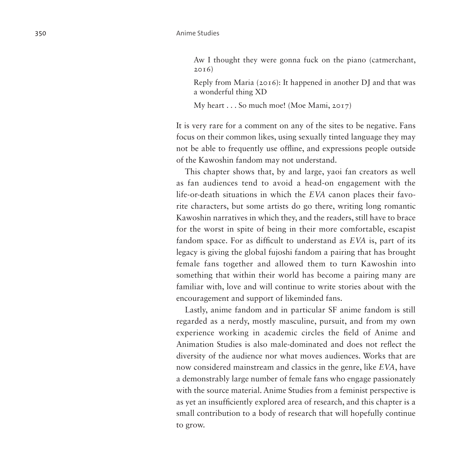Aw I thought they were gonna fuck on the piano (catmerchant, 2016)

Reply from Maria (2016): It happened in another DJ and that was a wonderful thing XD

My heart . . . So much moe! (Moe Mami, 2017)

It is very rare for a comment on any of the sites to be negative. Fans focus on their common likes, using sexually tinted language they may not be able to frequently use offline, and expressions people outside of the Kawoshin fandom may not understand.

This chapter shows that, by and large, yaoi fan creators as well as fan audiences tend to avoid a head-on engagement with the life-or-death situations in which the *EVA* canon places their favo rite characters, but some artists do go there, writing long romantic Kawoshin narratives in which they, and the readers, still have to brace for the worst in spite of being in their more comfortable, escapist fandom space. For as difficult to understand as *EVA* is, part of its legacy is giving the global fujoshi fandom a pairing that has brought female fans together and allowed them to turn Kawoshin into something that within their world has become a pairing many are familiar with, love and will continue to write stories about with the encouragement and support of likeminded fans.

Lastly, anime fandom and in particular SF anime fandom is still regarded as a nerdy, mostly masculine, pursuit, and from my own experience working in academic circles the field of Anime and Animation Studies is also male-dominated and does not reflect the diversity of the audience nor what moves audiences. Works that are now considered mainstream and classics in the genre, like *EVA* , have a demonstrably large number of female fans who engage passionately with the source material. Anime Studies from a feminist perspective is as yet an insufficiently explored area of research, and this chapter is a small contribution to a body of research that will hopefully continue to grow.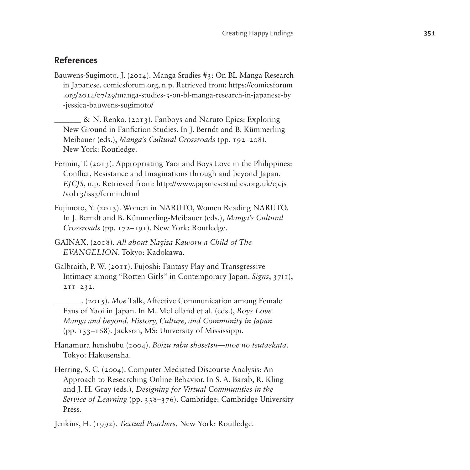## **References**

Bauwens-Sugimoto, J. (2014). Manga Studies #3: On BL Manga Research in Japanese. comicsforum.org, n.p. Retrieved from: [https://comicsforum](https://comicsforum.org/2014/07/29/manga-studies-3-on-bl-manga-research-in-japanese-by-jessica-bauwens-sugimoto/) [.org/2014/07/29/manga-studies-3-on-bl-manga-research-in-japanese-by](https://comicsforum.org/2014/07/29/manga-studies-3-on-bl-manga-research-in-japanese-by-jessica-bauwens-sugimoto/) [-jessica-bauwens-sugimoto/](https://comicsforum.org/2014/07/29/manga-studies-3-on-bl-manga-research-in-japanese-by-jessica-bauwens-sugimoto/)

\_\_\_\_\_\_\_ & N. Renka. (2013). Fanboys and Naruto Epics: Exploring New Ground in Fanfiction Studies. In J. Berndt and B. Kümmerling-Meibauer (eds.), *Manga's Cultural Crossroads* (pp. 192–208). New York: Routledge.

- Fermin, T. (2013). Appropriating Yaoi and Boys Love in the Philippines: Conflict, Resistance and Imaginations through and beyond Japan. *EJCJS*, n.p. Retrieved from: [http://www.japanesestudies.org.uk/ejcjs](http://www.japanesestudies.org.uk/ejcjs/vol13/iss3/fermin.html) [/vol13/iss3/fermin.html](http://www.japanesestudies.org.uk/ejcjs/vol13/iss3/fermin.html)
- Fujimoto, Y. (2013). Women in NARUTO, Women Reading NARUTO. In J. Berndt and B. Kümmerling-Meibauer (eds.), *Manga's Cultural Crossroads* (pp. 172–191). New York: Routledge.
- GAINAX. (2008). *All about Nagisa Kaworu a Child of The EVANGELION*. Tokyo: Kadokawa.
- Galbraith, P. W. (2011). Fujoshi: Fantasy Play and Transgressive Intimacy among "Rotten Girls" in Contemporary Japan. *Signs*, 37(1), 211–232.
	- \_\_\_\_\_\_\_. (2015). *Moe* Talk, Affective Communication among Female Fans of Yaoi in Japan. In M. McLelland et al. (eds.), *Boys Love Manga and beyond, History, Culture, and Community in Japan*  (pp. 153–168). Jackson, MS: University of Mississippi.
- Hanamura henshūbu (2004). *Bōizu rabu shōsetsu—moe no tsutaekata*. Tokyo: Hakusensha.
- Herring, S. C. (2004). Computer-Mediated Discourse Analysis: An Approach to Researching Online Behavior. In S. A. Barab, R. Kling and J. H. Gray (eds.), *Designing for Virtual Communities in the Service of Learning* (pp. 338–376). Cambridge: Cambridge University Press.

Jenkins, H. (1992). *Textual Poachers*. New York: Routledge.